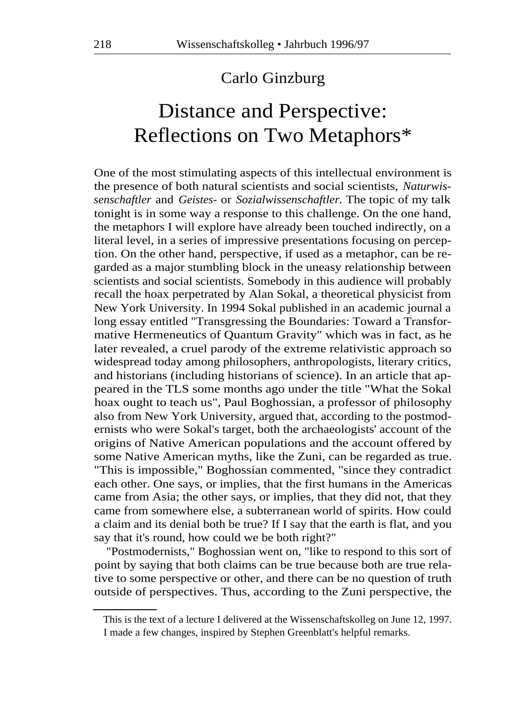## Carlo Ginzburg

## Distance and Perspective: Reflections on Two Metaphors\*

One of the most stimulating aspects of this intellectual environment is the presence of both natural scientists and social scientists, *Naturwissenschaftler* and *Geistes-* or *Sozialwissenschaftler.* The topic of my talk tonight is in some way a response to this challenge. On the one hand, the metaphors I will explore have already been touched indirectly, on a literal level, in a series of impressive presentations focusing on perception. On the other hand, perspective, if used as a metaphor, can be regarded as a major stumbling block in the uneasy relationship between scientists and social scientists. Somebody in this audience will probably recall the hoax perpetrated by Alan Sokal, a theoretical physicist from New York University. In 1994 Sokal published in an academic journal a long essay entitled "Transgressing the Boundaries: Toward a Transformative Hermeneutics of Quantum Gravity" which was in fact, as he later revealed, a cruel parody of the extreme relativistic approach so widespread today among philosophers, anthropologists, literary critics, and historians (including historians of science). In an article that appeared in the TLS some months ago under the title "What the Sokal hoax ought to teach us", Paul Boghossian, a professor of philosophy also from New York University, argued that, according to the postmodernists who were Sokal's target, both the archaeologists' account of the origins of Native American populations and the account offered by some Native American myths, like the Zuni, can be regarded as true. "This is impossible," Boghossian commented, "since they contradict each other. One says, or implies, that the first humans in the Americas came from Asia; the other says, or implies, that they did not, that they came from somewhere else, a subterranean world of spirits. How could a claim and its denial both be true? If I say that the earth is flat, and you say that it's round, how could we be both right?"

"Postmodernists," Boghossian went on, "like to respond to this sort of point by saying that both claims can be true because both are true relative to some perspective or other, and there can be no question of truth outside of perspectives. Thus, according to the Zuni perspective, the

This is the text of a lecture I delivered at the Wissenschaftskolleg on June 12, 1997. I made a few changes, inspired by Stephen Greenblatt's helpful remarks.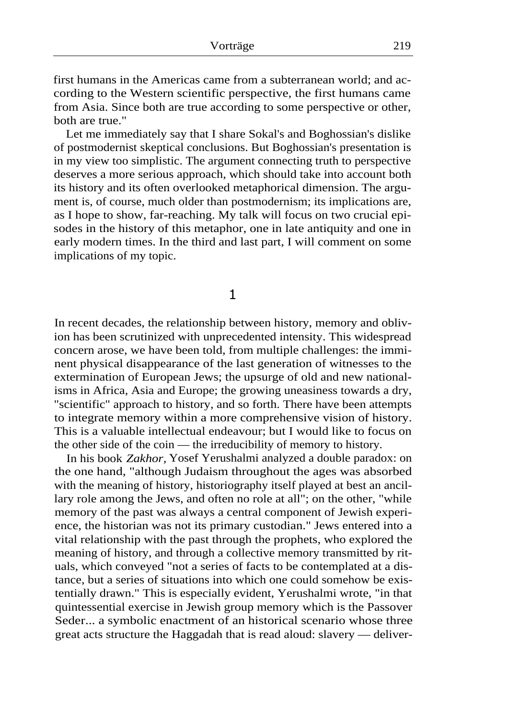first humans in the Americas came from a subterranean world; and according to the Western scientific perspective, the first humans came from Asia. Since both are true according to some perspective or other, both are true."

Let me immediately say that I share Sokal's and Boghossian's dislike of postmodernist skeptical conclusions. But Boghossian's presentation is in my view too simplistic. The argument connecting truth to perspective deserves a more serious approach, which should take into account both its history and its often overlooked metaphorical dimension. The argument is, of course, much older than postmodernism; its implications are, as I hope to show, far-reaching. My talk will focus on two crucial episodes in the history of this metaphor, one in late antiquity and one in early modern times. In the third and last part, I will comment on some implications of my topic.

1

In recent decades, the relationship between history, memory and oblivion has been scrutinized with unprecedented intensity. This widespread concern arose, we have been told, from multiple challenges: the imminent physical disappearance of the last generation of witnesses to the extermination of European Jews; the upsurge of old and new nationalisms in Africa, Asia and Europe; the growing uneasiness towards a dry, "scientific" approach to history, and so forth. There have been attempts to integrate memory within a more comprehensive vision of history. This is a valuable intellectual endeavour; but I would like to focus on the other side of the coin — the irreducibility of memory to history.

In his book *Zakhor,* Yosef Yerushalmi analyzed a double paradox: on the one hand, "although Judaism throughout the ages was absorbed with the meaning of history, historiography itself played at best an ancillary role among the Jews, and often no role at all"; on the other, "while memory of the past was always a central component of Jewish experience, the historian was not its primary custodian." Jews entered into a vital relationship with the past through the prophets, who explored the meaning of history, and through a collective memory transmitted by rituals, which conveyed "not a series of facts to be contemplated at a distance, but a series of situations into which one could somehow be existentially drawn." This is especially evident, Yerushalmi wrote, "in that quintessential exercise in Jewish group memory which is the Passover Seder... a symbolic enactment of an historical scenario whose three great acts structure the Haggadah that is read aloud: slavery — deliver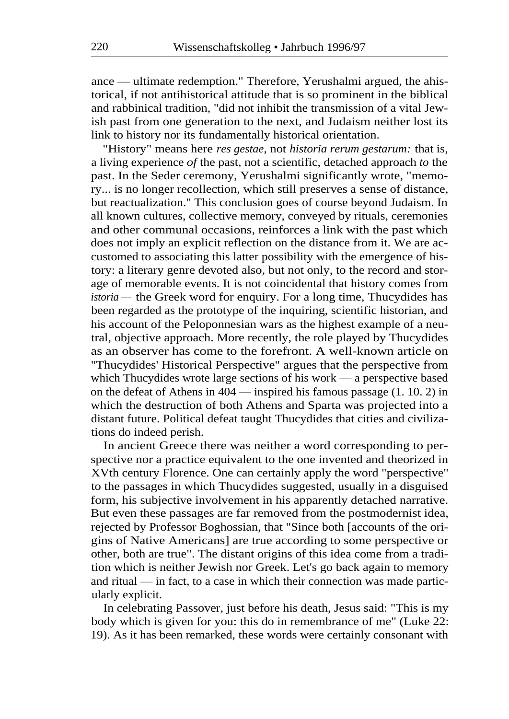ance — ultimate redemption." Therefore, Yerushalmi argued, the ahistorical, if not antihistorical attitude that is so prominent in the biblical and rabbinical tradition, "did not inhibit the transmission of a vital Jewish past from one generation to the next, and Judaism neither lost its link to history nor its fundamentally historical orientation.

"History" means here *res gestae,* not *historia rerum gestarum:* that is, a living experience *of* the past, not a scientific, detached approach *to* the past. In the Seder ceremony, Yerushalmi significantly wrote, "memory... is no longer recollection, which still preserves a sense of distance, but reactualization." This conclusion goes of course beyond Judaism. In all known cultures, collective memory, conveyed by rituals, ceremonies and other communal occasions, reinforces a link with the past which does not imply an explicit reflection on the distance from it. We are accustomed to associating this latter possibility with the emergence of history: a literary genre devoted also, but not only, to the record and storage of memorable events. It is not coincidental that history comes from *istoria —* the Greek word for enquiry. For a long time, Thucydides has been regarded as the prototype of the inquiring, scientific historian, and his account of the Peloponnesian wars as the highest example of a neutral, objective approach. More recently, the role played by Thucydides as an observer has come to the forefront. A well-known article on "Thucydides' Historical Perspective" argues that the perspective from which Thucydides wrote large sections of his work — a perspective based on the defeat of Athens in 404 — inspired his famous passage (1. 10. 2) in which the destruction of both Athens and Sparta was projected into a distant future. Political defeat taught Thucydides that cities and civilizations do indeed perish.

In ancient Greece there was neither a word corresponding to perspective nor a practice equivalent to the one invented and theorized in XVth century Florence. One can certainly apply the word "perspective" to the passages in which Thucydides suggested, usually in a disguised form, his subjective involvement in his apparently detached narrative. But even these passages are far removed from the postmodernist idea, rejected by Professor Boghossian, that "Since both [accounts of the origins of Native Americans] are true according to some perspective or other, both are true". The distant origins of this idea come from a tradition which is neither Jewish nor Greek. Let's go back again to memory and ritual — in fact, to a case in which their connection was made particularly explicit.

In celebrating Passover, just before his death, Jesus said: "This is my body which is given for you: this do in remembrance of me" (Luke 22: 19). As it has been remarked, these words were certainly consonant with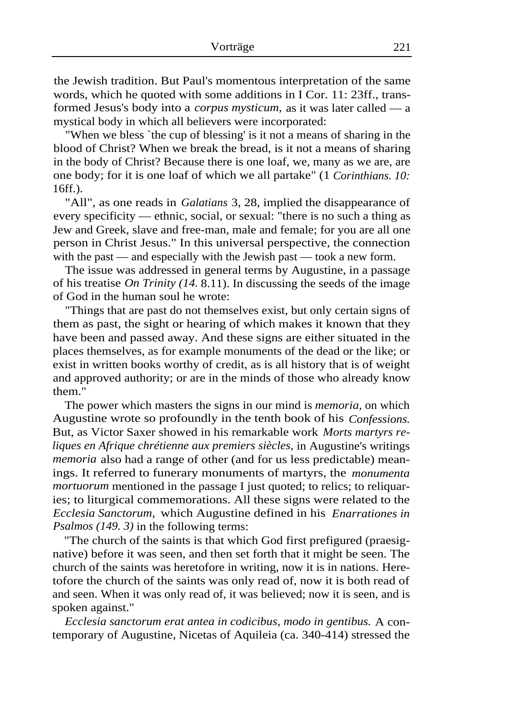the Jewish tradition. But Paul's momentous interpretation of the same words, which he quoted with some additions in I Cor. 11: 23ff., transformed Jesus's body into a *corpus mysticum,* as it was later called — a mystical body in which all believers were incorporated:

"When we bless `the cup of blessing' is it not a means of sharing in the blood of Christ? When we break the bread, is it not a means of sharing in the body of Christ? Because there is one loaf, we, many as we are, are one body; for it is one loaf of which we all partake" (1 *Corinthians. 10:*  16ff.).

"All", as one reads in *Galatians* 3, 28, implied the disappearance of every specificity — ethnic, social, or sexual: "there is no such a thing as Jew and Greek, slave and free-man, male and female; for you are all one person in Christ Jesus." In this universal perspective, the connection with the past — and especially with the Jewish past — took a new form.

The issue was addressed in general terms by Augustine, in a passage of his treatise *On Trinity (14.* 8.11). In discussing the seeds of the image of God in the human soul he wrote:

"Things that are past do not themselves exist, but only certain signs of them as past, the sight or hearing of which makes it known that they have been and passed away. And these signs are either situated in the places themselves, as for example monuments of the dead or the like; or exist in written books worthy of credit, as is all history that is of weight and approved authority; or are in the minds of those who already know them."

The power which masters the signs in our mind is *memoria,* on which Augustine wrote so profoundly in the tenth book of his *Confessions.*  But, as Victor Saxer showed in his remarkable work *Morts martyrs reliques en Afrique chrétienne aux premiers siècles,* in Augustine's writings *memoria* also had a range of other (and for us less predictable) meanings. It referred to funerary monuments of martyrs, the *monumenta mortuorum* mentioned in the passage I just quoted; to relics; to reliquaries; to liturgical commemorations. All these signs were related to the *Ecclesia Sanctorum,* which Augustine defined in his *Enarrationes in Psalmos (149. 3)* in the following terms:

"The church of the saints is that which God first prefigured (praesignative) before it was seen, and then set forth that it might be seen. The church of the saints was heretofore in writing, now it is in nations. Heretofore the church of the saints was only read of, now it is both read of and seen. When it was only read of, it was believed; now it is seen, and is spoken against."

*Ecclesia sanctorum erat antea in codicibus, modo in gentibus.* A contemporary of Augustine, Nicetas of Aquileia (ca. 340-414) stressed the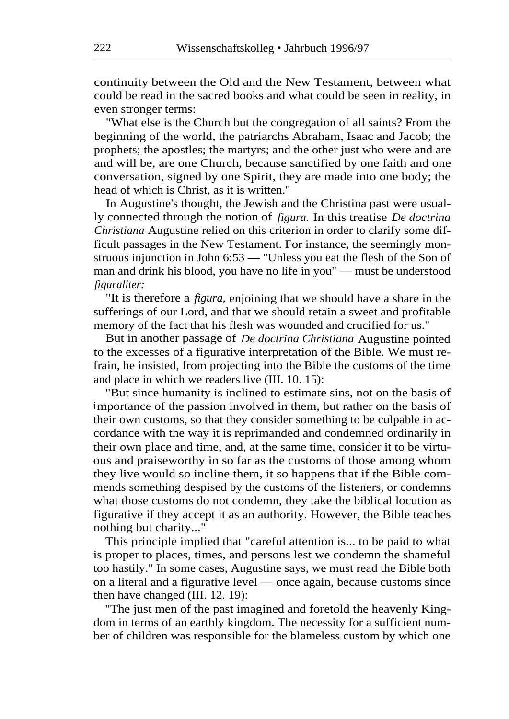continuity between the Old and the New Testament, between what could be read in the sacred books and what could be seen in reality, in even stronger terms:

"What else is the Church but the congregation of all saints? From the beginning of the world, the patriarchs Abraham, Isaac and Jacob; the prophets; the apostles; the martyrs; and the other just who were and are and will be, are one Church, because sanctified by one faith and one conversation, signed by one Spirit, they are made into one body; the head of which is Christ, as it is written."

In Augustine's thought, the Jewish and the Christina past were usually connected through the notion of *figura.* In this treatise *De doctrina Christiana* Augustine relied on this criterion in order to clarify some difficult passages in the New Testament. For instance, the seemingly monstruous injunction in John 6:53 — "Unless you eat the flesh of the Son of man and drink his blood, you have no life in you" — must be understood *figuraliter:* 

"It is therefore a *figura,* enjoining that we should have a share in the sufferings of our Lord, and that we should retain a sweet and profitable memory of the fact that his flesh was wounded and crucified for us."

But in another passage of *De doctrina Christiana* Augustine pointed to the excesses of a figurative interpretation of the Bible. We must refrain, he insisted, from projecting into the Bible the customs of the time and place in which we readers live (III. 10. 15):

"But since humanity is inclined to estimate sins, not on the basis of importance of the passion involved in them, but rather on the basis of their own customs, so that they consider something to be culpable in accordance with the way it is reprimanded and condemned ordinarily in their own place and time, and, at the same time, consider it to be virtuous and praiseworthy in so far as the customs of those among whom they live would so incline them, it so happens that if the Bible commends something despised by the customs of the listeners, or condemns what those customs do not condemn, they take the biblical locution as figurative if they accept it as an authority. However, the Bible teaches nothing but charity..."

This principle implied that "careful attention is... to be paid to what is proper to places, times, and persons lest we condemn the shameful too hastily." In some cases, Augustine says, we must read the Bible both on a literal and a figurative level — once again, because customs since then have changed (III. 12. 19):

"The just men of the past imagined and foretold the heavenly Kingdom in terms of an earthly kingdom. The necessity for a sufficient number of children was responsible for the blameless custom by which one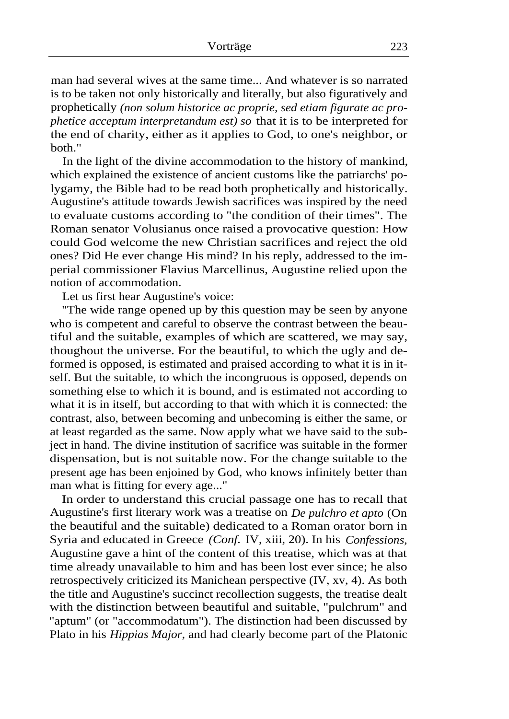man had several wives at the same time... And whatever is so narrated is to be taken not only historically and literally, but also figuratively and prophetically *(non solum historice ac proprie, sed etiam figurate ac prophetice acceptum interpretandum est) so* that it is to be interpreted for the end of charity, either as it applies to God, to one's neighbor, or both."

In the light of the divine accommodation to the history of mankind, which explained the existence of ancient customs like the patriarchs' polygamy, the Bible had to be read both prophetically and historically. Augustine's attitude towards Jewish sacrifices was inspired by the need to evaluate customs according to "the condition of their times". The Roman senator Volusianus once raised a provocative question: How could God welcome the new Christian sacrifices and reject the old ones? Did He ever change His mind? In his reply, addressed to the imperial commissioner Flavius Marcellinus, Augustine relied upon the notion of accommodation.

Let us first hear Augustine's voice:

"The wide range opened up by this question may be seen by anyone who is competent and careful to observe the contrast between the beautiful and the suitable, examples of which are scattered, we may say, thoughout the universe. For the beautiful, to which the ugly and deformed is opposed, is estimated and praised according to what it is in itself. But the suitable, to which the incongruous is opposed, depends on something else to which it is bound, and is estimated not according to what it is in itself, but according to that with which it is connected: the contrast, also, between becoming and unbecoming is either the same, or at least regarded as the same. Now apply what we have said to the subject in hand. The divine institution of sacrifice was suitable in the former dispensation, but is not suitable now. For the change suitable to the present age has been enjoined by God, who knows infinitely better than man what is fitting for every age..."

In order to understand this crucial passage one has to recall that Augustine's first literary work was a treatise on *De pulchro et apto* (On the beautiful and the suitable) dedicated to a Roman orator born in Syria and educated in Greece *(Conf.* IV, xiii, 20). In his *Confessions,*  Augustine gave a hint of the content of this treatise, which was at that time already unavailable to him and has been lost ever since; he also retrospectively criticized its Manichean perspective (IV, xv, 4). As both the title and Augustine's succinct recollection suggests, the treatise dealt with the distinction between beautiful and suitable, "pulchrum" and "aptum" (or "accommodatum"). The distinction had been discussed by Plato in his *Hippias Major,* and had clearly become part of the Platonic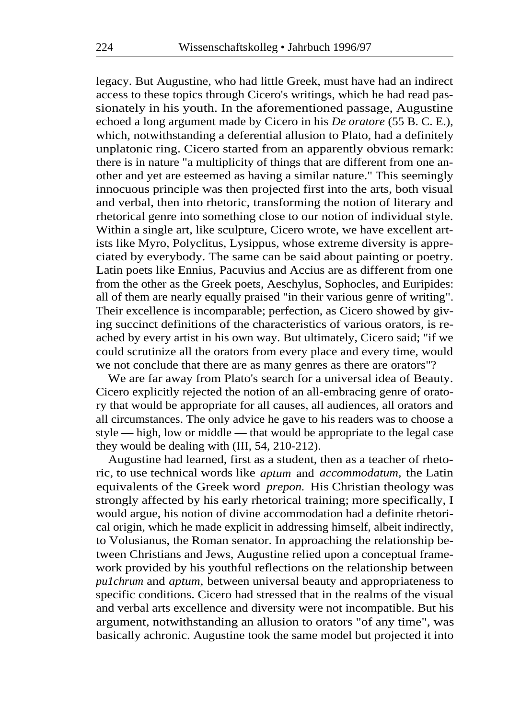legacy. But Augustine, who had little Greek, must have had an indirect access to these topics through Cicero's writings, which he had read passionately in his youth. In the aforementioned passage, Augustine echoed a long argument made by Cicero in his *De oratore* (55 B. C. E.), which, notwithstanding a deferential allusion to Plato, had a definitely unplatonic ring. Cicero started from an apparently obvious remark: there is in nature "a multiplicity of things that are different from one another and yet are esteemed as having a similar nature." This seemingly innocuous principle was then projected first into the arts, both visual and verbal, then into rhetoric, transforming the notion of literary and rhetorical genre into something close to our notion of individual style. Within a single art, like sculpture, Cicero wrote, we have excellent artists like Myro, Polyclitus, Lysippus, whose extreme diversity is appreciated by everybody. The same can be said about painting or poetry. Latin poets like Ennius, Pacuvius and Accius are as different from one from the other as the Greek poets, Aeschylus, Sophocles, and Euripides: all of them are nearly equally praised "in their various genre of writing". Their excellence is incomparable; perfection, as Cicero showed by giving succinct definitions of the characteristics of various orators, is reached by every artist in his own way. But ultimately, Cicero said; "if we could scrutinize all the orators from every place and every time, would we not conclude that there are as many genres as there are orators"?

We are far away from Plato's search for a universal idea of Beauty. Cicero explicitly rejected the notion of an all-embracing genre of oratory that would be appropriate for all causes, all audiences, all orators and all circumstances. The only advice he gave to his readers was to choose a style — high, low or middle — that would be appropriate to the legal case they would be dealing with (III, 54, 210-212).

Augustine had learned, first as a student, then as a teacher of rhetoric, to use technical words like *aptum* and *accommodatum,* the Latin equivalents of the Greek word *prepon.* His Christian theology was strongly affected by his early rhetorical training; more specifically, I would argue, his notion of divine accommodation had a definite rhetorical origin, which he made explicit in addressing himself, albeit indirectly, to Volusianus, the Roman senator. In approaching the relationship between Christians and Jews, Augustine relied upon a conceptual framework provided by his youthful reflections on the relationship between *pu1chrum* and *aptum,* between universal beauty and appropriateness to specific conditions. Cicero had stressed that in the realms of the visual and verbal arts excellence and diversity were not incompatible. But his argument, notwithstanding an allusion to orators "of any time", was basically achronic. Augustine took the same model but projected it into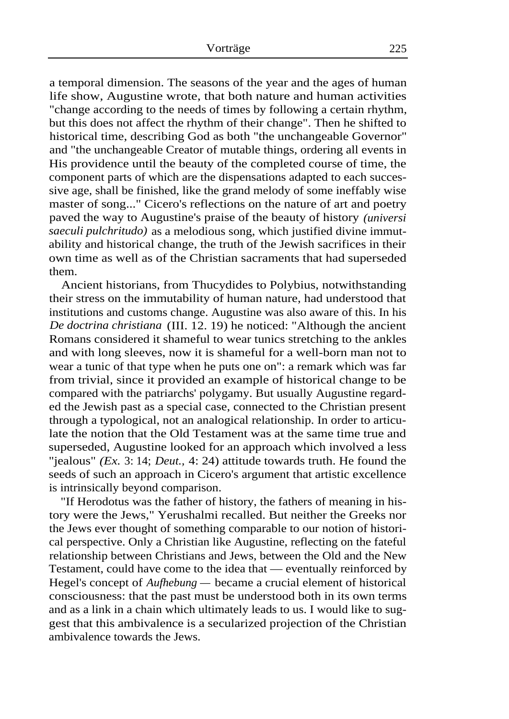a temporal dimension. The seasons of the year and the ages of human life show, Augustine wrote, that both nature and human activities "change according to the needs of times by following a certain rhythm, but this does not affect the rhythm of their change". Then he shifted to historical time, describing God as both "the unchangeable Governor" and "the unchangeable Creator of mutable things, ordering all events in His providence until the beauty of the completed course of time, the component parts of which are the dispensations adapted to each successive age, shall be finished, like the grand melody of some ineffably wise master of song..." Cicero's reflections on the nature of art and poetry paved the way to Augustine's praise of the beauty of history *(universi saeculi pulchritudo)* as a melodious song, which justified divine immutability and historical change, the truth of the Jewish sacrifices in their own time as well as of the Christian sacraments that had superseded them.

Ancient historians, from Thucydides to Polybius, notwithstanding their stress on the immutability of human nature, had understood that institutions and customs change. Augustine was also aware of this. In his *De doctrina christiana* (III. 12. 19) he noticed: "Although the ancient Romans considered it shameful to wear tunics stretching to the ankles and with long sleeves, now it is shameful for a well-born man not to wear a tunic of that type when he puts one on": a remark which was far from trivial, since it provided an example of historical change to be compared with the patriarchs' polygamy. But usually Augustine regarded the Jewish past as a special case, connected to the Christian present through a typological, not an analogical relationship. In order to articulate the notion that the Old Testament was at the same time true and superseded, Augustine looked for an approach which involved a less "jealous" *(Ex.* 3: 14; *Deut.,* 4: 24) attitude towards truth. He found the seeds of such an approach in Cicero's argument that artistic excellence is intrinsically beyond comparison.

"If Herodotus was the father of history, the fathers of meaning in history were the Jews," Yerushalmi recalled. But neither the Greeks nor the Jews ever thought of something comparable to our notion of historical perspective. Only a Christian like Augustine, reflecting on the fateful relationship between Christians and Jews, between the Old and the New Testament, could have come to the idea that — eventually reinforced by Hegel's concept of *Aufhebung —* became a crucial element of historical consciousness: that the past must be understood both in its own terms and as a link in a chain which ultimately leads to us. I would like to suggest that this ambivalence is a secularized projection of the Christian ambivalence towards the Jews.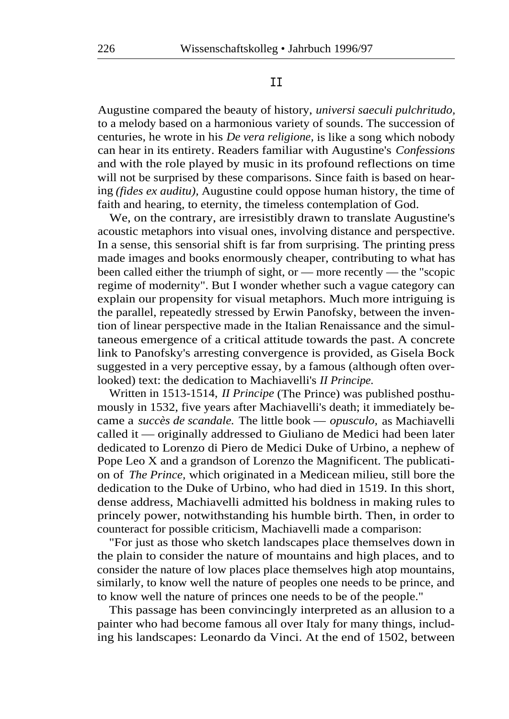## II

Augustine compared the beauty of history, *universi saeculi pulchritudo,*  to a melody based on a harmonious variety of sounds. The succession of centuries, he wrote in his *De vera religione,* is like a song which nobody can hear in its entirety. Readers familiar with Augustine's *Confessions*  and with the role played by music in its profound reflections on time will not be surprised by these comparisons. Since faith is based on hearing *(fides ex auditu),* Augustine could oppose human history, the time of faith and hearing, to eternity, the timeless contemplation of God.

We, on the contrary, are irresistibly drawn to translate Augustine's acoustic metaphors into visual ones, involving distance and perspective. In a sense, this sensorial shift is far from surprising. The printing press made images and books enormously cheaper, contributing to what has been called either the triumph of sight, or — more recently — the "scopic regime of modernity". But I wonder whether such a vague category can explain our propensity for visual metaphors. Much more intriguing is the parallel, repeatedly stressed by Erwin Panofsky, between the invention of linear perspective made in the Italian Renaissance and the simultaneous emergence of a critical attitude towards the past. A concrete link to Panofsky's arresting convergence is provided, as Gisela Bock suggested in a very perceptive essay, by a famous (although often overlooked) text: the dedication to Machiavelli's *II Principe.* 

Written in 1513-1514, *II Principe* (The Prince) was published posthumously in 1532, five years after Machiavelli's death; it immediately became a *succès de scandale.* The little book — *opusculo,* as Machiavelli called it — originally addressed to Giuliano de Medici had been later dedicated to Lorenzo di Piero de Medici Duke of Urbino, a nephew of Pope Leo X and a grandson of Lorenzo the Magnificent. The publication of *The Prince,* which originated in a Medicean milieu, still bore the dedication to the Duke of Urbino, who had died in 1519. In this short, dense address, Machiavelli admitted his boldness in making rules to princely power, notwithstanding his humble birth. Then, in order to counteract for possible criticism, Machiavelli made a comparison:

"For just as those who sketch landscapes place themselves down in the plain to consider the nature of mountains and high places, and to consider the nature of low places place themselves high atop mountains, similarly, to know well the nature of peoples one needs to be prince, and to know well the nature of princes one needs to be of the people."

This passage has been convincingly interpreted as an allusion to a painter who had become famous all over Italy for many things, including his landscapes: Leonardo da Vinci. At the end of 1502, between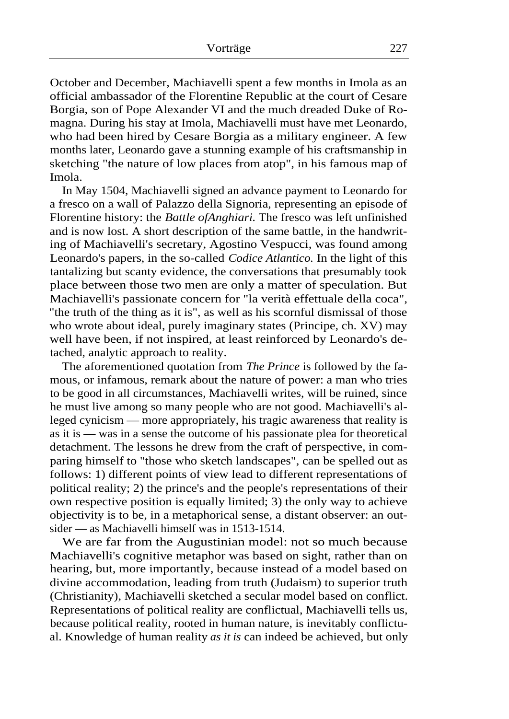October and December, Machiavelli spent a few months in Imola as an official ambassador of the Florentine Republic at the court of Cesare Borgia, son of Pope Alexander VI and the much dreaded Duke of Romagna. During his stay at Imola, Machiavelli must have met Leonardo, who had been hired by Cesare Borgia as a military engineer. A few months later, Leonardo gave a stunning example of his craftsmanship in sketching "the nature of low places from atop", in his famous map of Imola.

In May 1504, Machiavelli signed an advance payment to Leonardo for a fresco on a wall of Palazzo della Signoria, representing an episode of Florentine history: the *Battle ofAnghiari.* The fresco was left unfinished and is now lost. A short description of the same battle, in the handwriting of Machiavelli's secretary, Agostino Vespucci, was found among Leonardo's papers, in the so-called *Codice Atlantico.* In the light of this tantalizing but scanty evidence, the conversations that presumably took place between those two men are only a matter of speculation. But Machiavelli's passionate concern for "la verità effettuale della coca", "the truth of the thing as it is", as well as his scornful dismissal of those who wrote about ideal, purely imaginary states (Principe, ch. XV) may well have been, if not inspired, at least reinforced by Leonardo's detached, analytic approach to reality.

The aforementioned quotation from *The Prince* is followed by the famous, or infamous, remark about the nature of power: a man who tries to be good in all circumstances, Machiavelli writes, will be ruined, since he must live among so many people who are not good. Machiavelli's alleged cynicism — more appropriately, his tragic awareness that reality is as it is — was in a sense the outcome of his passionate plea for theoretical detachment. The lessons he drew from the craft of perspective, in comparing himself to "those who sketch landscapes", can be spelled out as follows: 1) different points of view lead to different representations of political reality; 2) the prince's and the people's representations of their own respective position is equally limited; 3) the only way to achieve objectivity is to be, in a metaphorical sense, a distant observer: an outsider — as Machiavelli himself was in 1513-1514.

We are far from the Augustinian model: not so much because Machiavelli's cognitive metaphor was based on sight, rather than on hearing, but, more importantly, because instead of a model based on divine accommodation, leading from truth (Judaism) to superior truth (Christianity), Machiavelli sketched a secular model based on conflict. Representations of political reality are conflictual, Machiavelli tells us, because political reality, rooted in human nature, is inevitably conflictual. Knowledge of human reality *as it is* can indeed be achieved, but only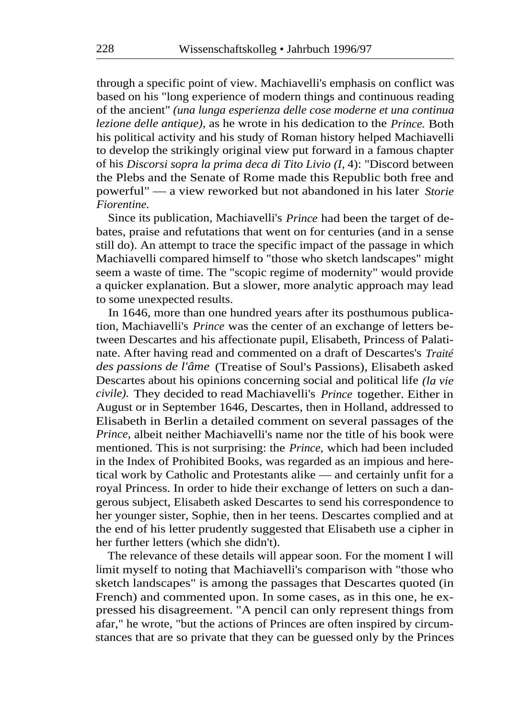through a specific point of view. Machiavelli's emphasis on conflict was based on his "long experience of modern things and continuous reading of the ancient" *(una lunga esperienza delle cose moderne et una continua lezione delle antique),* as he wrote in his dedication to the *Prince.* Both his political activity and his study of Roman history helped Machiavelli to develop the strikingly original view put forward in a famous chapter of his *Discorsi sopra la prima deca di Tito Livio (I,* 4): "Discord between the Plebs and the Senate of Rome made this Republic both free and powerful" — a view reworked but not abandoned in his later *Storie Fiorentine.* 

Since its publication, Machiavelli's *Prince* had been the target of debates, praise and refutations that went on for centuries (and in a sense still do). An attempt to trace the specific impact of the passage in which Machiavelli compared himself to "those who sketch landscapes" might seem a waste of time. The "scopic regime of modernity" would provide a quicker explanation. But a slower, more analytic approach may lead to some unexpected results.

In 1646, more than one hundred years after its posthumous publication, Machiavelli's *Prince* was the center of an exchange of letters between Descartes and his affectionate pupil, Elisabeth, Princess of Palatinate. After having read and commented on a draft of Descartes's *Traité des passions de l'âme* (Treatise of Soul's Passions), Elisabeth asked Descartes about his opinions concerning social and political life *(la vie civile).* They decided to read Machiavelli's *Prince* together. Either in August or in September 1646, Descartes, then in Holland, addressed to Elisabeth in Berlin a detailed comment on several passages of the *Prince,* albeit neither Machiavelli's name nor the title of his book were mentioned. This is not surprising: the *Prince,* which had been included in the Index of Prohibited Books, was regarded as an impious and heretical work by Catholic and Protestants alike — and certainly unfit for a royal Princess. In order to hide their exchange of letters on such a dangerous subject, Elisabeth asked Descartes to send his correspondence to her younger sister, Sophie, then in her teens. Descartes complied and at the end of his letter prudently suggested that Elisabeth use a cipher in her further letters (which she didn't).

The relevance of these details will appear soon. For the moment I will limit myself to noting that Machiavelli's comparison with "those who sketch landscapes" is among the passages that Descartes quoted (in French) and commented upon. In some cases, as in this one, he expressed his disagreement. "A pencil can only represent things from afar," he wrote, "but the actions of Princes are often inspired by circumstances that are so private that they can be guessed only by the Princes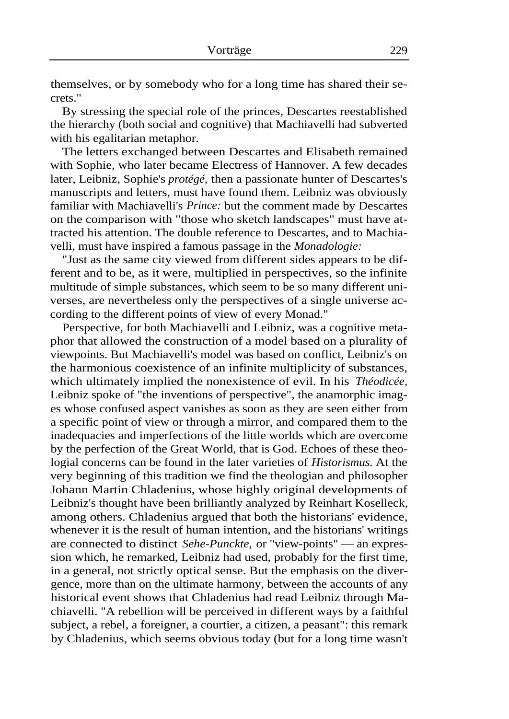themselves, or by somebody who for a long time has shared their secrets."

By stressing the special role of the princes, Descartes reestablished the hierarchy (both social and cognitive) that Machiavelli had subverted with his egalitarian metaphor.

The letters exchanged between Descartes and Elisabeth remained with Sophie, who later became Electress of Hannover. A few decades later, Leibniz, Sophie's *protégé,* then a passionate hunter of Descartes's manuscripts and letters, must have found them. Leibniz was obviously familiar with Machiavelli's *Prince:* but the comment made by Descartes on the comparison with "those who sketch landscapes" must have attracted his attention. The double reference to Descartes, and to Machiavelli, must have inspired a famous passage in the *Monadologie:* 

"Just as the same city viewed from different sides appears to be different and to be, as it were, multiplied in perspectives, so the infinite multitude of simple substances, which seem to be so many different universes, are nevertheless only the perspectives of a single universe according to the different points of view of every Monad."

Perspective, for both Machiavelli and Leibniz, was a cognitive metaphor that allowed the construction of a model based on a plurality of viewpoints. But Machiavelli's model was based on conflict, Leibniz's on the harmonious coexistence of an infinite multiplicity of substances, which ultimately implied the nonexistence of evil. In his *Théodicée,*  Leibniz spoke of "the inventions of perspective", the anamorphic images whose confused aspect vanishes as soon as they are seen either from a specific point of view or through a mirror, and compared them to the inadequacies and imperfections of the little worlds which are overcome by the perfection of the Great World, that is God. Echoes of these theologial concerns can be found in the later varieties of *Historismus.* At the very beginning of this tradition we find the theologian and philosopher Johann Martin Chladenius, whose highly original developments of Leibniz's thought have been brilliantly analyzed by Reinhart Koselleck, among others. Chladenius argued that both the historians' evidence, whenever it is the result of human intention, and the historians' writings are connected to distinct *Sehe-Punckte,* or "view-points" — an expression which, he remarked, Leibniz had used, probably for the first time, in a general, not strictly optical sense. But the emphasis on the divergence, more than on the ultimate harmony, between the accounts of any historical event shows that Chladenius had read Leibniz through Machiavelli. "A rebellion will be perceived in different ways by a faithful subject, a rebel, a foreigner, a courtier, a citizen, a peasant": this remark by Chladenius, which seems obvious today (but for a long time wasn't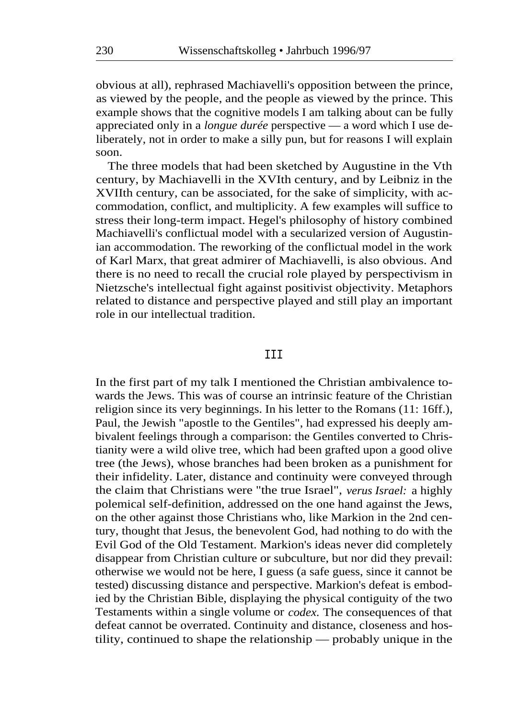obvious at all), rephrased Machiavelli's opposition between the prince, as viewed by the people, and the people as viewed by the prince. This example shows that the cognitive models I am talking about can be fully appreciated only in a *longue durée* perspective — a word which I use deliberately, not in order to make a silly pun, but for reasons I will explain soon.

The three models that had been sketched by Augustine in the Vth century, by Machiavelli in the XVIth century, and by Leibniz in the XVIIth century, can be associated, for the sake of simplicity, with accommodation, conflict, and multiplicity. A few examples will suffice to stress their long-term impact. Hegel's philosophy of history combined Machiavelli's conflictual model with a secularized version of Augustinian accommodation. The reworking of the conflictual model in the work of Karl Marx, that great admirer of Machiavelli, is also obvious. And there is no need to recall the crucial role played by perspectivism in Nietzsche's intellectual fight against positivist objectivity. Metaphors related to distance and perspective played and still play an important role in our intellectual tradition.

## **TTT**

In the first part of my talk I mentioned the Christian ambivalence towards the Jews. This was of course an intrinsic feature of the Christian religion since its very beginnings. In his letter to the Romans (11: 16ff.), Paul, the Jewish "apostle to the Gentiles", had expressed his deeply ambivalent feelings through a comparison: the Gentiles converted to Christianity were a wild olive tree, which had been grafted upon a good olive tree (the Jews), whose branches had been broken as a punishment for their infidelity. Later, distance and continuity were conveyed through the claim that Christians were "the true Israel", *verus Israel:* a highly polemical self-definition, addressed on the one hand against the Jews, on the other against those Christians who, like Markion in the 2nd century, thought that Jesus, the benevolent God, had nothing to do with the Evil God of the Old Testament. Markion's ideas never did completely disappear from Christian culture or subculture, but nor did they prevail: otherwise we would not be here, I guess (a safe guess, since it cannot be tested) discussing distance and perspective. Markion's defeat is embodied by the Christian Bible, displaying the physical contiguity of the two Testaments within a single volume or *codex.* The consequences of that defeat cannot be overrated. Continuity and distance, closeness and hostility, continued to shape the relationship — probably unique in the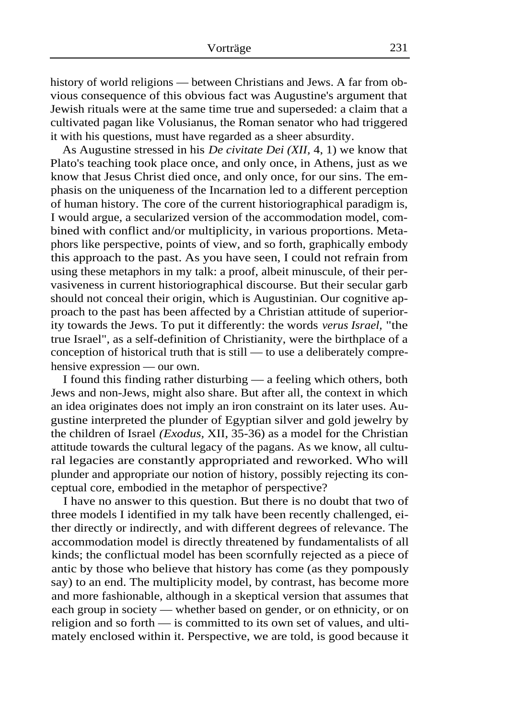history of world religions — between Christians and Jews. A far from obvious consequence of this obvious fact was Augustine's argument that Jewish rituals were at the same time true and superseded: a claim that a cultivated pagan like Volusianus, the Roman senator who had triggered it with his questions, must have regarded as a sheer absurdity.

As Augustine stressed in his *De civitate Dei (XII,* 4, 1) we know that Plato's teaching took place once, and only once, in Athens, just as we know that Jesus Christ died once, and only once, for our sins. The emphasis on the uniqueness of the Incarnation led to a different perception of human history. The core of the current historiographical paradigm is, I would argue, a secularized version of the accommodation model, combined with conflict and/or multiplicity, in various proportions. Metaphors like perspective, points of view, and so forth, graphically embody this approach to the past. As you have seen, I could not refrain from using these metaphors in my talk: a proof, albeit minuscule, of their pervasiveness in current historiographical discourse. But their secular garb should not conceal their origin, which is Augustinian. Our cognitive approach to the past has been affected by a Christian attitude of superiority towards the Jews. To put it differently: the words *verus Israel,* "the true Israel", as a self-definition of Christianity, were the birthplace of a conception of historical truth that is still — to use a deliberately comprehensive expression — our own.

I found this finding rather disturbing — a feeling which others, both Jews and non-Jews, might also share. But after all, the context in which an idea originates does not imply an iron constraint on its later uses. Augustine interpreted the plunder of Egyptian silver and gold jewelry by the children of Israel *(Exodus,* XII, 35-36) as a model for the Christian attitude towards the cultural legacy of the pagans. As we know, all cultural legacies are constantly appropriated and reworked. Who will plunder and appropriate our notion of history, possibly rejecting its conceptual core, embodied in the metaphor of perspective?

I have no answer to this question. But there is no doubt that two of three models I identified in my talk have been recently challenged, either directly or indirectly, and with different degrees of relevance. The accommodation model is directly threatened by fundamentalists of all kinds; the conflictual model has been scornfully rejected as a piece of antic by those who believe that history has come (as they pompously say) to an end. The multiplicity model, by contrast, has become more and more fashionable, although in a skeptical version that assumes that each group in society — whether based on gender, or on ethnicity, or on religion and so forth — is committed to its own set of values, and ultimately enclosed within it. Perspective, we are told, is good because it